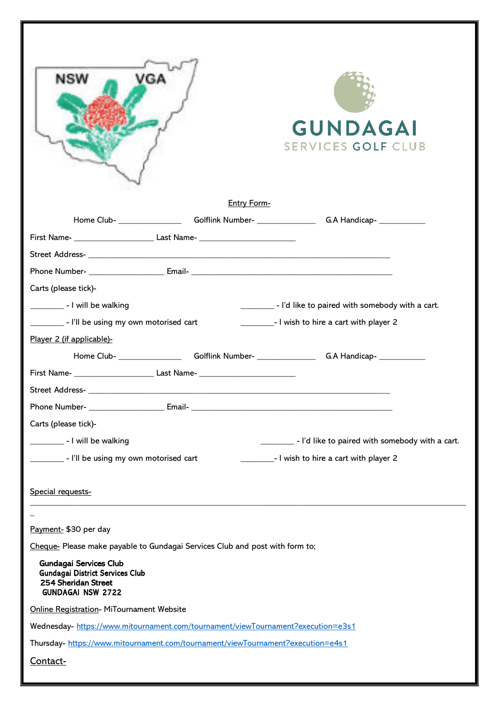| NSW<br>GА<br><b>GUNDAGAI</b><br>SERVICES GOLF CLUB<br>Entry Form-                                                          |
|----------------------------------------------------------------------------------------------------------------------------|
| Home Club- _____________________Golflink Number- ______________________G.A Handicap- ______________                        |
|                                                                                                                            |
|                                                                                                                            |
|                                                                                                                            |
| Carts (please tick)-                                                                                                       |
| _________________ - I will be walking<br>- I'd like to paired with somebody with a cart.                                   |
| - I'll be using my own motorised cart<br>_______________- I wish to hire a cart with player 2                              |
| Player 2 (if applicable)-                                                                                                  |
| Home Club- _____________________Golflink Number- _______________________G.A Handicap- _____________                        |
| First Name- ___________________________________Last Name- _______________________                                          |
|                                                                                                                            |
|                                                                                                                            |
| Carts (please tick)-                                                                                                       |
| __________________ - I will be walking<br>- I'd like to paired with somebody with a cart.                                  |
| - I'll be using my own motorised cart<br>_______________- I wish to hire a cart with player 2                              |
|                                                                                                                            |
| Special requests-                                                                                                          |
|                                                                                                                            |
| Payment- \$30 per day                                                                                                      |
| Cheque-Please make payable to Gundagai Services Club and post with form to;                                                |
| <b>Gundagai Services Club</b><br><b>Gundagai District Services Club</b><br>254 Sheridan Street<br><b>GUNDAGAI NSW 2722</b> |
| <b>Online Registration- MiTournament Website</b>                                                                           |
| Wednesday- https://www.mitournament.com/tournament/viewTournament?execution=e3s1                                           |
| Thursday-https://www.mitournament.com/tournament/viewTournament?execution=e4s1                                             |
| Contact-                                                                                                                   |
|                                                                                                                            |